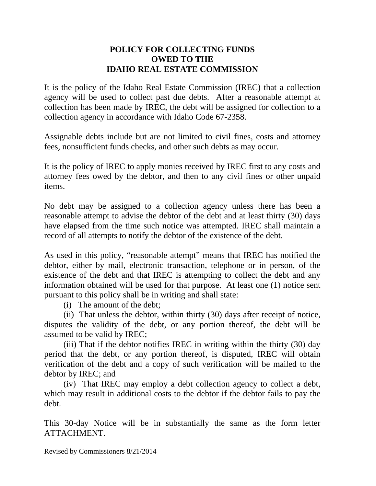## **POLICY FOR COLLECTING FUNDS OWED TO THE IDAHO REAL ESTATE COMMISSION**

It is the policy of the Idaho Real Estate Commission (IREC) that a collection agency will be used to collect past due debts. After a reasonable attempt at collection has been made by IREC, the debt will be assigned for collection to a collection agency in accordance with Idaho Code 67-2358.

Assignable debts include but are not limited to civil fines, costs and attorney fees, nonsufficient funds checks, and other such debts as may occur.

It is the policy of IREC to apply monies received by IREC first to any costs and attorney fees owed by the debtor, and then to any civil fines or other unpaid items.

No debt may be assigned to a collection agency unless there has been a reasonable attempt to advise the debtor of the debt and at least thirty (30) days have elapsed from the time such notice was attempted. IREC shall maintain a record of all attempts to notify the debtor of the existence of the debt.

As used in this policy, "reasonable attempt" means that IREC has notified the debtor, either by mail, electronic transaction, telephone or in person, of the existence of the debt and that IREC is attempting to collect the debt and any information obtained will be used for that purpose. At least one (1) notice sent pursuant to this policy shall be in writing and shall state:

(i) The amount of the debt;

 (ii) That unless the debtor, within thirty (30) days after receipt of notice, disputes the validity of the debt, or any portion thereof, the debt will be assumed to be valid by IREC;

 (iii) That if the debtor notifies IREC in writing within the thirty (30) day period that the debt, or any portion thereof, is disputed, IREC will obtain verification of the debt and a copy of such verification will be mailed to the debtor by IREC; and

 (iv) That IREC may employ a debt collection agency to collect a debt, which may result in additional costs to the debtor if the debtor fails to pay the debt.

This 30-day Notice will be in substantially the same as the form letter ATTACHMENT.